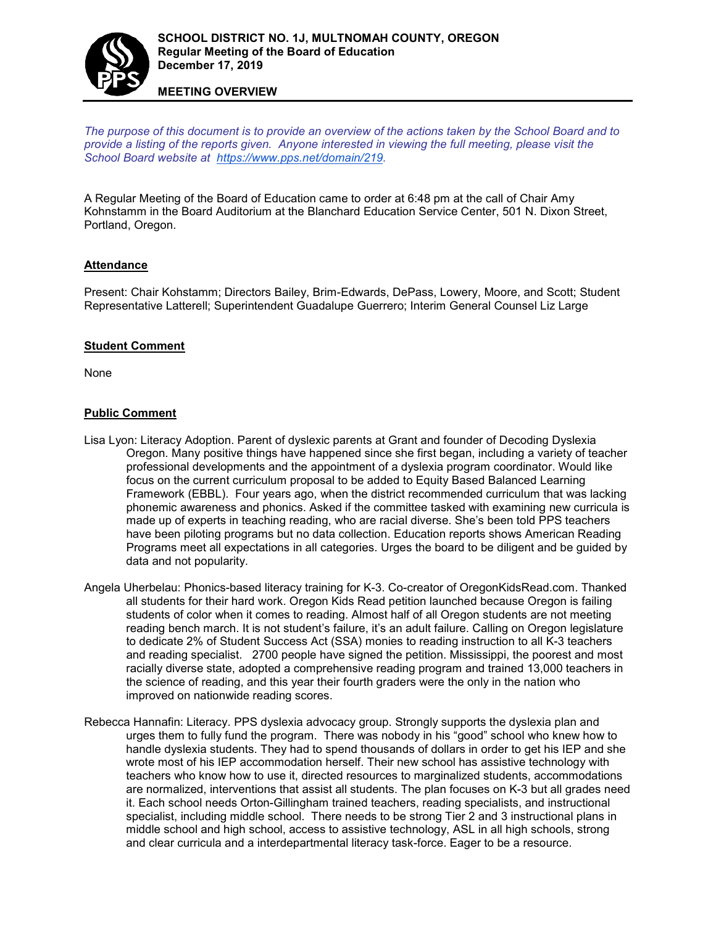

**MEETING OVERVIEW**

*The purpose of this document is to provide an overview of the actions taken by the School Board and to provide a listing of the reports given. Anyone interested in viewing the full meeting, please visit the School Board website at [https://www.pps.net/domain/219.](https://www.pps.net/domain/219)*

A Regular Meeting of the Board of Education came to order at 6:48 pm at the call of Chair Amy Kohnstamm in the Board Auditorium at the Blanchard Education Service Center, 501 N. Dixon Street, Portland, Oregon.

# **Attendance**

Present: Chair Kohstamm; Directors Bailey, Brim-Edwards, DePass, Lowery, Moore, and Scott; Student Representative Latterell; Superintendent Guadalupe Guerrero; Interim General Counsel Liz Large

#### **Student Comment**

None

## **Public Comment**

- Lisa Lyon: Literacy Adoption. Parent of dyslexic parents at Grant and founder of Decoding Dyslexia Oregon. Many positive things have happened since she first began, including a variety of teacher professional developments and the appointment of a dyslexia program coordinator. Would like focus on the current curriculum proposal to be added to Equity Based Balanced Learning Framework (EBBL). Four years ago, when the district recommended curriculum that was lacking phonemic awareness and phonics. Asked if the committee tasked with examining new curricula is made up of experts in teaching reading, who are racial diverse. She's been told PPS teachers have been piloting programs but no data collection. Education reports shows American Reading Programs meet all expectations in all categories. Urges the board to be diligent and be guided by data and not popularity.
- Angela Uherbelau: Phonics-based literacy training for K-3. Co-creator of OregonKidsRead.com. Thanked all students for their hard work. Oregon Kids Read petition launched because Oregon is failing students of color when it comes to reading. Almost half of all Oregon students are not meeting reading bench march. It is not student's failure, it's an adult failure. Calling on Oregon legislature to dedicate 2% of Student Success Act (SSA) monies to reading instruction to all K-3 teachers and reading specialist. 2700 people have signed the petition. Mississippi, the poorest and most racially diverse state, adopted a comprehensive reading program and trained 13,000 teachers in the science of reading, and this year their fourth graders were the only in the nation who improved on nationwide reading scores.
- Rebecca Hannafin: Literacy. PPS dyslexia advocacy group. Strongly supports the dyslexia plan and urges them to fully fund the program. There was nobody in his "good" school who knew how to handle dyslexia students. They had to spend thousands of dollars in order to get his IEP and she wrote most of his IEP accommodation herself. Their new school has assistive technology with teachers who know how to use it, directed resources to marginalized students, accommodations are normalized, interventions that assist all students. The plan focuses on K-3 but all grades need it. Each school needs Orton-Gillingham trained teachers, reading specialists, and instructional specialist, including middle school. There needs to be strong Tier 2 and 3 instructional plans in middle school and high school, access to assistive technology, ASL in all high schools, strong and clear curricula and a interdepartmental literacy task-force. Eager to be a resource.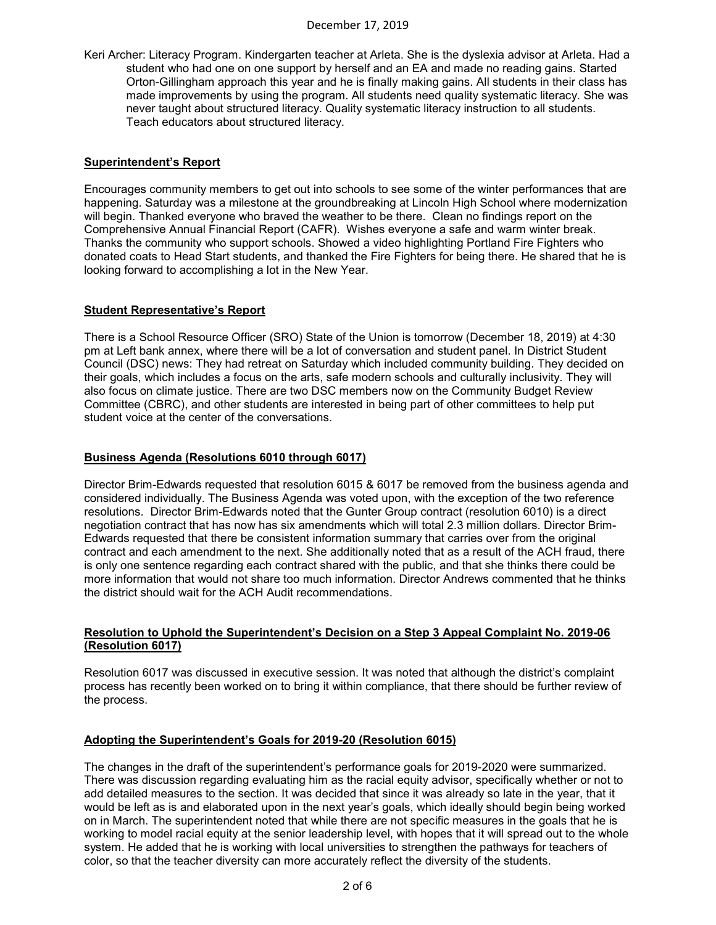Keri Archer: Literacy Program. Kindergarten teacher at Arleta. She is the dyslexia advisor at Arleta. Had a student who had one on one support by herself and an EA and made no reading gains. Started Orton-Gillingham approach this year and he is finally making gains. All students in their class has made improvements by using the program. All students need quality systematic literacy. She was never taught about structured literacy. Quality systematic literacy instruction to all students. Teach educators about structured literacy.

## **Superintendent's Report**

Encourages community members to get out into schools to see some of the winter performances that are happening. Saturday was a milestone at the groundbreaking at Lincoln High School where modernization will begin. Thanked everyone who braved the weather to be there. Clean no findings report on the Comprehensive Annual Financial Report (CAFR). Wishes everyone a safe and warm winter break. Thanks the community who support schools. Showed a video highlighting Portland Fire Fighters who donated coats to Head Start students, and thanked the Fire Fighters for being there. He shared that he is looking forward to accomplishing a lot in the New Year.

## **Student Representative's Report**

There is a School Resource Officer (SRO) State of the Union is tomorrow (December 18, 2019) at 4:30 pm at Left bank annex, where there will be a lot of conversation and student panel. In District Student Council (DSC) news: They had retreat on Saturday which included community building. They decided on their goals, which includes a focus on the arts, safe modern schools and culturally inclusivity. They will also focus on climate justice. There are two DSC members now on the Community Budget Review Committee (CBRC), and other students are interested in being part of other committees to help put student voice at the center of the conversations.

## **Business Agenda (Resolutions 6010 through 6017)**

Director Brim-Edwards requested that resolution 6015 & 6017 be removed from the business agenda and considered individually. The Business Agenda was voted upon, with the exception of the two reference resolutions. Director Brim-Edwards noted that the Gunter Group contract (resolution 6010) is a direct negotiation contract that has now has six amendments which will total 2.3 million dollars. Director Brim-Edwards requested that there be consistent information summary that carries over from the original contract and each amendment to the next. She additionally noted that as a result of the ACH fraud, there is only one sentence regarding each contract shared with the public, and that she thinks there could be more information that would not share too much information. Director Andrews commented that he thinks the district should wait for the ACH Audit recommendations.

## **Resolution to Uphold the Superintendent's Decision on a Step 3 Appeal Complaint No. 2019-06 (Resolution 6017)**

Resolution 6017 was discussed in executive session. It was noted that although the district's complaint process has recently been worked on to bring it within compliance, that there should be further review of the process.

#### **Adopting the Superintendent's Goals for 2019-20 (Resolution 6015)**

The changes in the draft of the superintendent's performance goals for 2019-2020 were summarized. There was discussion regarding evaluating him as the racial equity advisor, specifically whether or not to add detailed measures to the section. It was decided that since it was already so late in the year, that it would be left as is and elaborated upon in the next year's goals, which ideally should begin being worked on in March. The superintendent noted that while there are not specific measures in the goals that he is working to model racial equity at the senior leadership level, with hopes that it will spread out to the whole system. He added that he is working with local universities to strengthen the pathways for teachers of color, so that the teacher diversity can more accurately reflect the diversity of the students.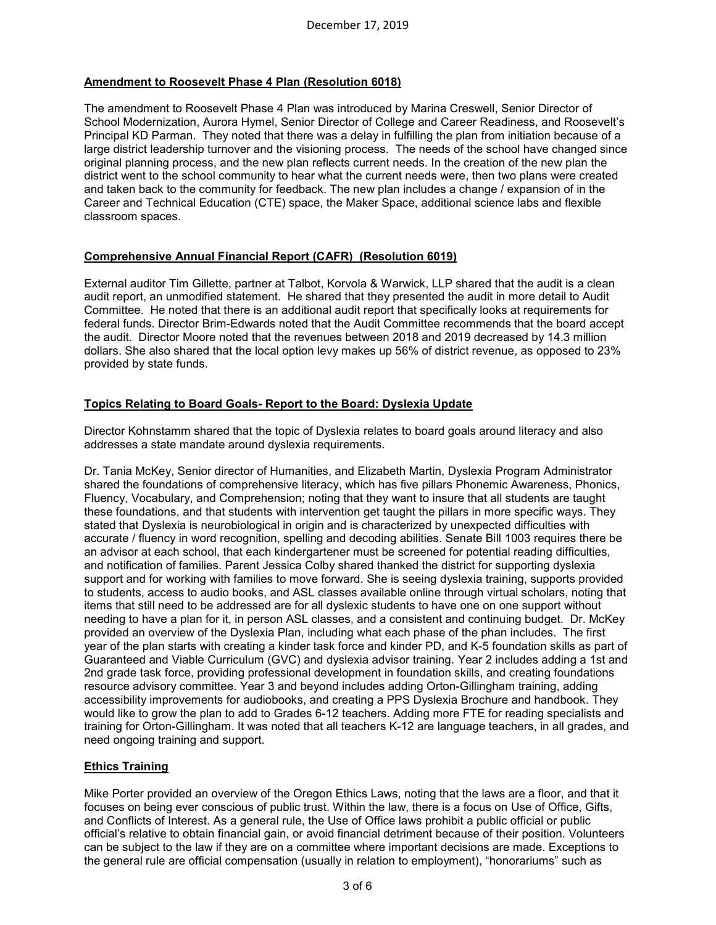# **Amendment to Roosevelt Phase 4 Plan (Resolution 6018)**

The amendment to Roosevelt Phase 4 Plan was introduced by Marina Creswell, Senior Director of School Modernization, Aurora Hymel, Senior Director of College and Career Readiness, and Roosevelt's Principal KD Parman. They noted that there was a delay in fulfilling the plan from initiation because of a large district leadership turnover and the visioning process. The needs of the school have changed since original planning process, and the new plan reflects current needs. In the creation of the new plan the district went to the school community to hear what the current needs were, then two plans were created and taken back to the community for feedback. The new plan includes a change / expansion of in the Career and Technical Education (CTE) space, the Maker Space, additional science labs and flexible classroom spaces.

# **Comprehensive Annual Financial Report (CAFR) (Resolution 6019)**

External auditor Tim Gillette, partner at Talbot, Korvola & Warwick, LLP shared that the audit is a clean audit report, an unmodified statement. He shared that they presented the audit in more detail to Audit Committee. He noted that there is an additional audit report that specifically looks at requirements for federal funds. Director Brim-Edwards noted that the Audit Committee recommends that the board accept the audit. Director Moore noted that the revenues between 2018 and 2019 decreased by 14.3 million dollars. She also shared that the local option levy makes up 56% of district revenue, as opposed to 23% provided by state funds.

# **Topics Relating to Board Goals- Report to the Board: Dyslexia Update**

Director Kohnstamm shared that the topic of Dyslexia relates to board goals around literacy and also addresses a state mandate around dyslexia requirements.

Dr. Tania McKey, Senior director of Humanities, and Elizabeth Martin, Dyslexia Program Administrator shared the foundations of comprehensive literacy, which has five pillars Phonemic Awareness, Phonics, Fluency, Vocabulary, and Comprehension; noting that they want to insure that all students are taught these foundations, and that students with intervention get taught the pillars in more specific ways. They stated that Dyslexia is neurobiological in origin and is characterized by unexpected difficulties with accurate / fluency in word recognition, spelling and decoding abilities. Senate Bill 1003 requires there be an advisor at each school, that each kindergartener must be screened for potential reading difficulties, and notification of families. Parent Jessica Colby shared thanked the district for supporting dyslexia support and for working with families to move forward. She is seeing dyslexia training, supports provided to students, access to audio books, and ASL classes available online through virtual scholars, noting that items that still need to be addressed are for all dyslexic students to have one on one support without needing to have a plan for it, in person ASL classes, and a consistent and continuing budget. Dr. McKey provided an overview of the Dyslexia Plan, including what each phase of the phan includes. The first year of the plan starts with creating a kinder task force and kinder PD, and K-5 foundation skills as part of Guaranteed and Viable Curriculum (GVC) and dyslexia advisor training. Year 2 includes adding a 1st and 2nd grade task force, providing professional development in foundation skills, and creating foundations resource advisory committee. Year 3 and beyond includes adding Orton-Gillingham training, adding accessibility improvements for audiobooks, and creating a PPS Dyslexia Brochure and handbook. They would like to grow the plan to add to Grades 6-12 teachers. Adding more FTE for reading specialists and training for Orton-Gillingham. It was noted that all teachers K-12 are language teachers, in all grades, and need ongoing training and support.

# **Ethics Training**

Mike Porter provided an overview of the Oregon Ethics Laws, noting that the laws are a floor, and that it focuses on being ever conscious of public trust. Within the law, there is a focus on Use of Office, Gifts, and Conflicts of Interest. As a general rule, the Use of Office laws prohibit a public official or public official's relative to obtain financial gain, or avoid financial detriment because of their position. Volunteers can be subject to the law if they are on a committee where important decisions are made. Exceptions to the general rule are official compensation (usually in relation to employment), "honorariums" such as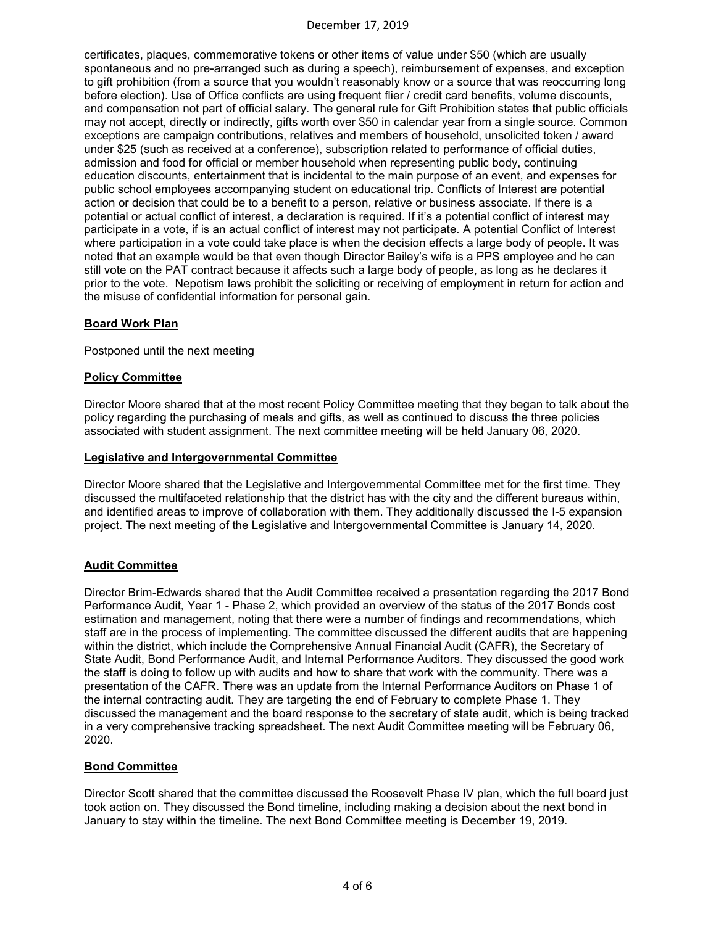## December 17, 2019

certificates, plaques, commemorative tokens or other items of value under \$50 (which are usually spontaneous and no pre-arranged such as during a speech), reimbursement of expenses, and exception to gift prohibition (from a source that you wouldn't reasonably know or a source that was reoccurring long before election). Use of Office conflicts are using frequent flier / credit card benefits, volume discounts, and compensation not part of official salary. The general rule for Gift Prohibition states that public officials may not accept, directly or indirectly, gifts worth over \$50 in calendar year from a single source. Common exceptions are campaign contributions, relatives and members of household, unsolicited token / award under \$25 (such as received at a conference), subscription related to performance of official duties, admission and food for official or member household when representing public body, continuing education discounts, entertainment that is incidental to the main purpose of an event, and expenses for public school employees accompanying student on educational trip. Conflicts of Interest are potential action or decision that could be to a benefit to a person, relative or business associate. If there is a potential or actual conflict of interest, a declaration is required. If it's a potential conflict of interest may participate in a vote, if is an actual conflict of interest may not participate. A potential Conflict of Interest where participation in a vote could take place is when the decision effects a large body of people. It was noted that an example would be that even though Director Bailey's wife is a PPS employee and he can still vote on the PAT contract because it affects such a large body of people, as long as he declares it prior to the vote. Nepotism laws prohibit the soliciting or receiving of employment in return for action and the misuse of confidential information for personal gain.

## **Board Work Plan**

Postponed until the next meeting

#### **Policy Committee**

Director Moore shared that at the most recent Policy Committee meeting that they began to talk about the policy regarding the purchasing of meals and gifts, as well as continued to discuss the three policies associated with student assignment. The next committee meeting will be held January 06, 2020.

#### **Legislative and Intergovernmental Committee**

Director Moore shared that the Legislative and Intergovernmental Committee met for the first time. They discussed the multifaceted relationship that the district has with the city and the different bureaus within, and identified areas to improve of collaboration with them. They additionally discussed the I-5 expansion project. The next meeting of the Legislative and Intergovernmental Committee is January 14, 2020.

# **Audit Committee**

Director Brim-Edwards shared that the Audit Committee received a presentation regarding the 2017 Bond Performance Audit, Year 1 - Phase 2, which provided an overview of the status of the 2017 Bonds cost estimation and management, noting that there were a number of findings and recommendations, which staff are in the process of implementing. The committee discussed the different audits that are happening within the district, which include the Comprehensive Annual Financial Audit (CAFR), the Secretary of State Audit, Bond Performance Audit, and Internal Performance Auditors. They discussed the good work the staff is doing to follow up with audits and how to share that work with the community. There was a presentation of the CAFR. There was an update from the Internal Performance Auditors on Phase 1 of the internal contracting audit. They are targeting the end of February to complete Phase 1. They discussed the management and the board response to the secretary of state audit, which is being tracked in a very comprehensive tracking spreadsheet. The next Audit Committee meeting will be February 06, 2020.

#### **Bond Committee**

Director Scott shared that the committee discussed the Roosevelt Phase IV plan, which the full board just took action on. They discussed the Bond timeline, including making a decision about the next bond in January to stay within the timeline. The next Bond Committee meeting is December 19, 2019.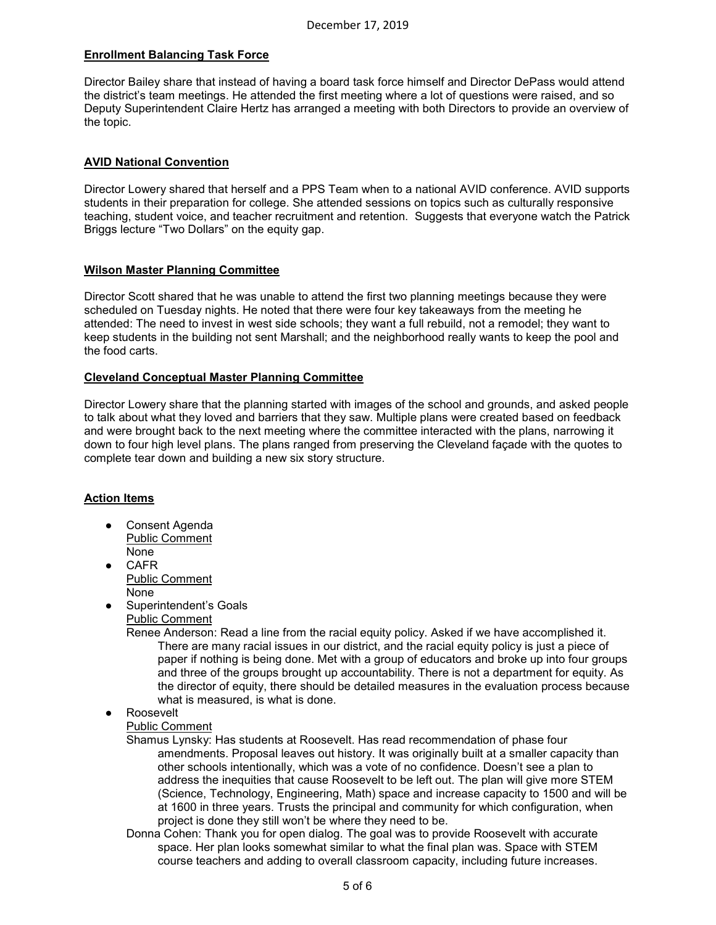# **Enrollment Balancing Task Force**

Director Bailey share that instead of having a board task force himself and Director DePass would attend the district's team meetings. He attended the first meeting where a lot of questions were raised, and so Deputy Superintendent Claire Hertz has arranged a meeting with both Directors to provide an overview of the topic.

# **AVID National Convention**

Director Lowery shared that herself and a PPS Team when to a national AVID conference. AVID supports students in their preparation for college. She attended sessions on topics such as culturally responsive teaching, student voice, and teacher recruitment and retention. Suggests that everyone watch the Patrick Briggs lecture "Two Dollars" on the equity gap.

## **Wilson Master Planning Committee**

Director Scott shared that he was unable to attend the first two planning meetings because they were scheduled on Tuesday nights. He noted that there were four key takeaways from the meeting he attended: The need to invest in west side schools; they want a full rebuild, not a remodel; they want to keep students in the building not sent Marshall; and the neighborhood really wants to keep the pool and the food carts.

## **Cleveland Conceptual Master Planning Committee**

Director Lowery share that the planning started with images of the school and grounds, and asked people to talk about what they loved and barriers that they saw. Multiple plans were created based on feedback and were brought back to the next meeting where the committee interacted with the plans, narrowing it down to four high level plans. The plans ranged from preserving the Cleveland façade with the quotes to complete tear down and building a new six story structure.

# **Action Items**

- Consent Agenda Public Comment None
- CAFR Public Comment None
- Superintendent's Goals Public Comment
	- Renee Anderson: Read a line from the racial equity policy. Asked if we have accomplished it. There are many racial issues in our district, and the racial equity policy is just a piece of paper if nothing is being done. Met with a group of educators and broke up into four groups and three of the groups brought up accountability. There is not a department for equity. As the director of equity, there should be detailed measures in the evaluation process because what is measured, is what is done.
- **Roosevelt**

Public Comment

Shamus Lynsky: Has students at Roosevelt. Has read recommendation of phase four amendments. Proposal leaves out history. It was originally built at a smaller capacity than other schools intentionally, which was a vote of no confidence. Doesn't see a plan to address the inequities that cause Roosevelt to be left out. The plan will give more STEM (Science, Technology, Engineering, Math) space and increase capacity to 1500 and will be at 1600 in three years. Trusts the principal and community for which configuration, when project is done they still won't be where they need to be.

Donna Cohen: Thank you for open dialog. The goal was to provide Roosevelt with accurate space. Her plan looks somewhat similar to what the final plan was. Space with STEM course teachers and adding to overall classroom capacity, including future increases.